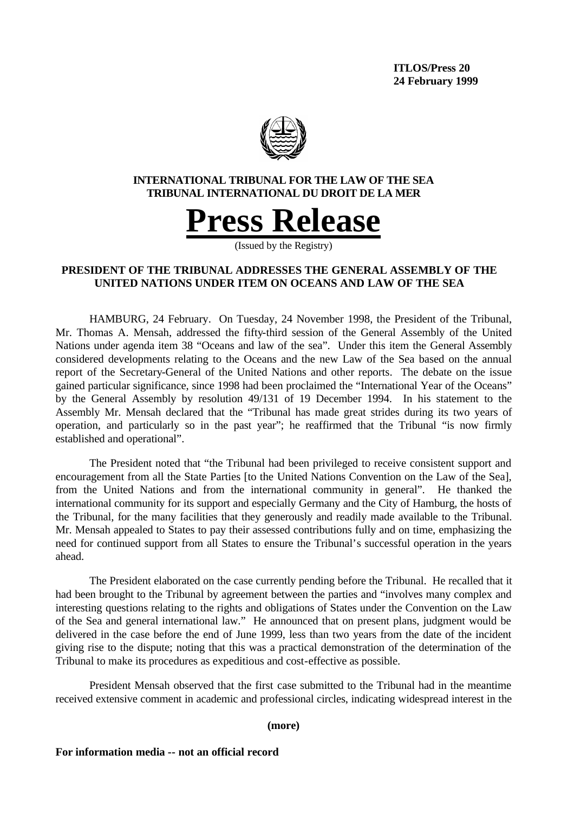

# **INTERNATIONAL TRIBUNAL FOR THE LAW OF THE SEA TRIBUNAL INTERNATIONAL DU DROIT DE LA MER**



(Issued by the Registry)

# **PRESIDENT OF THE TRIBUNAL ADDRESSES THE GENERAL ASSEMBLY OF THE UNITED NATIONS UNDER ITEM ON OCEANS AND LAW OF THE SEA**

HAMBURG, 24 February. On Tuesday, 24 November 1998, the President of the Tribunal, Mr. Thomas A. Mensah, addressed the fifty-third session of the General Assembly of the United Nations under agenda item 38 "Oceans and law of the sea". Under this item the General Assembly considered developments relating to the Oceans and the new Law of the Sea based on the annual report of the Secretary-General of the United Nations and other reports. The debate on the issue gained particular significance, since 1998 had been proclaimed the "International Year of the Oceans" by the General Assembly by resolution 49/131 of 19 December 1994. In his statement to the Assembly Mr. Mensah declared that the "Tribunal has made great strides during its two years of operation, and particularly so in the past year"; he reaffirmed that the Tribunal "is now firmly established and operational".

The President noted that "the Tribunal had been privileged to receive consistent support and encouragement from all the State Parties [to the United Nations Convention on the Law of the Sea], from the United Nations and from the international community in general". He thanked the international community for its support and especially Germany and the City of Hamburg, the hosts of the Tribunal, for the many facilities that they generously and readily made available to the Tribunal. Mr. Mensah appealed to States to pay their assessed contributions fully and on time, emphasizing the need for continued support from all States to ensure the Tribunal's successful operation in the years ahead.

The President elaborated on the case currently pending before the Tribunal. He recalled that it had been brought to the Tribunal by agreement between the parties and "involves many complex and interesting questions relating to the rights and obligations of States under the Convention on the Law of the Sea and general international law." He announced that on present plans, judgment would be delivered in the case before the end of June 1999, less than two years from the date of the incident giving rise to the dispute; noting that this was a practical demonstration of the determination of the Tribunal to make its procedures as expeditious and cost-effective as possible.

President Mensah observed that the first case submitted to the Tribunal had in the meantime received extensive comment in academic and professional circles, indicating widespread interest in the

#### **(more)**

### **For information media -- not an official record**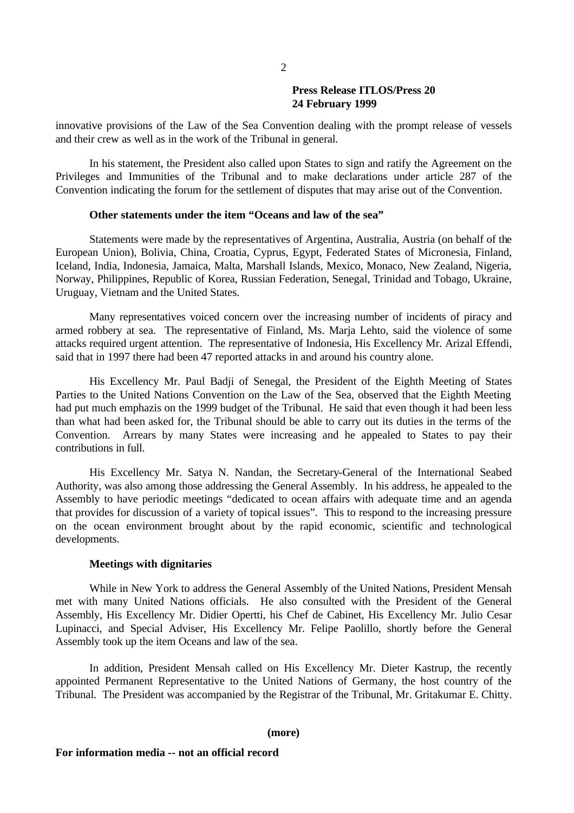## **Press Release ITLOS/Press 20 24 February 1999**

innovative provisions of the Law of the Sea Convention dealing with the prompt release of vessels and their crew as well as in the work of the Tribunal in general.

In his statement, the President also called upon States to sign and ratify the Agreement on the Privileges and Immunities of the Tribunal and to make declarations under article 287 of the Convention indicating the forum for the settlement of disputes that may arise out of the Convention.

#### **Other statements under the item "Oceans and law of the sea"**

Statements were made by the representatives of Argentina, Australia, Austria (on behalf of the European Union), Bolivia, China, Croatia, Cyprus, Egypt, Federated States of Micronesia, Finland, Iceland, India, Indonesia, Jamaica, Malta, Marshall Islands, Mexico, Monaco, New Zealand, Nigeria, Norway, Philippines, Republic of Korea, Russian Federation, Senegal, Trinidad and Tobago, Ukraine, Uruguay, Vietnam and the United States.

Many representatives voiced concern over the increasing number of incidents of piracy and armed robbery at sea. The representative of Finland, Ms. Marja Lehto, said the violence of some attacks required urgent attention. The representative of Indonesia, His Excellency Mr. Arizal Effendi, said that in 1997 there had been 47 reported attacks in and around his country alone.

His Excellency Mr. Paul Badji of Senegal, the President of the Eighth Meeting of States Parties to the United Nations Convention on the Law of the Sea, observed that the Eighth Meeting had put much emphazis on the 1999 budget of the Tribunal. He said that even though it had been less than what had been asked for, the Tribunal should be able to carry out its duties in the terms of the Convention. Arrears by many States were increasing and he appealed to States to pay their contributions in full.

His Excellency Mr. Satya N. Nandan, the Secretary-General of the International Seabed Authority, was also among those addressing the General Assembly. In his address, he appealed to the Assembly to have periodic meetings "dedicated to ocean affairs with adequate time and an agenda that provides for discussion of a variety of topical issues". This to respond to the increasing pressure on the ocean environment brought about by the rapid economic, scientific and technological developments.

### **Meetings with dignitaries**

While in New York to address the General Assembly of the United Nations, President Mensah met with many United Nations officials. He also consulted with the President of the General Assembly, His Excellency Mr. Didier Opertti, his Chef de Cabinet, His Excellency Mr. Julio Cesar Lupinacci, and Special Adviser, His Excellency Mr. Felipe Paolillo, shortly before the General Assembly took up the item Oceans and law of the sea.

In addition, President Mensah called on His Excellency Mr. Dieter Kastrup, the recently appointed Permanent Representative to the United Nations of Germany, the host country of the Tribunal. The President was accompanied by the Registrar of the Tribunal, Mr. Gritakumar E. Chitty.

#### **(more)**

#### **For information media -- not an official record**